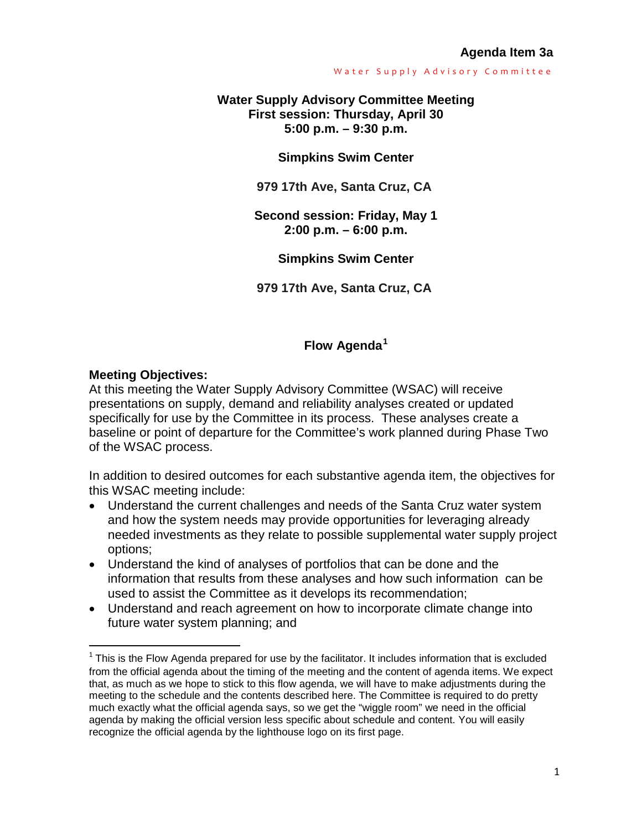### **Water Supply Advisory Committee Meeting First session: Thursday, April 30 5:00 p.m. – 9:30 p.m.**

**Simpkins Swim Center**

**979 17th Ave, Santa Cruz, CA**

**Second session: Friday, May 1 2:00 p.m. – 6:00 p.m.**

**Simpkins Swim Center** 

**979 17th Ave, Santa Cruz, CA**

## **Flow Agenda[1](#page-0-0)**

### **Meeting Objectives:**

 $\overline{a}$ 

At this meeting the Water Supply Advisory Committee (WSAC) will receive presentations on supply, demand and reliability analyses created or updated specifically for use by the Committee in its process. These analyses create a baseline or point of departure for the Committee's work planned during Phase Two of the WSAC process.

In addition to desired outcomes for each substantive agenda item, the objectives for this WSAC meeting include:

- Understand the current challenges and needs of the Santa Cruz water system and how the system needs may provide opportunities for leveraging already needed investments as they relate to possible supplemental water supply project options;
- Understand the kind of analyses of portfolios that can be done and the information that results from these analyses and how such information can be used to assist the Committee as it develops its recommendation;
- Understand and reach agreement on how to incorporate climate change into future water system planning; and

<span id="page-0-0"></span> $1$  This is the Flow Agenda prepared for use by the facilitator. It includes information that is excluded from the official agenda about the timing of the meeting and the content of agenda items. We expect that, as much as we hope to stick to this flow agenda, we will have to make adjustments during the meeting to the schedule and the contents described here. The Committee is required to do pretty much exactly what the official agenda says, so we get the "wiggle room" we need in the official agenda by making the official version less specific about schedule and content. You will easily recognize the official agenda by the lighthouse logo on its first page.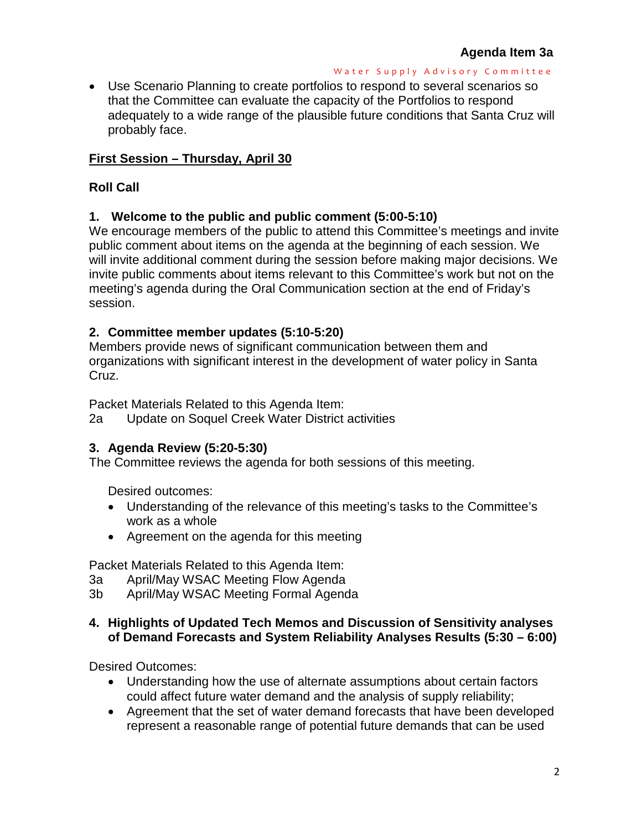• Use Scenario Planning to create portfolios to respond to several scenarios so that the Committee can evaluate the capacity of the Portfolios to respond adequately to a wide range of the plausible future conditions that Santa Cruz will probably face.

## **First Session – Thursday, April 30**

## **Roll Call**

### **1. Welcome to the public and public comment (5:00-5:10)**

We encourage members of the public to attend this Committee's meetings and invite public comment about items on the agenda at the beginning of each session. We will invite additional comment during the session before making major decisions. We invite public comments about items relevant to this Committee's work but not on the meeting's agenda during the Oral Communication section at the end of Friday's session.

### **2. Committee member updates (5:10-5:20)**

Members provide news of significant communication between them and organizations with significant interest in the development of water policy in Santa Cruz.

Packet Materials Related to this Agenda Item:

2a Update on Soquel Creek Water District activities

### **3. Agenda Review (5:20-5:30)**

The Committee reviews the agenda for both sessions of this meeting.

Desired outcomes:

- Understanding of the relevance of this meeting's tasks to the Committee's work as a whole
- Agreement on the agenda for this meeting

Packet Materials Related to this Agenda Item:

- 3a April/May WSAC Meeting Flow Agenda
- 3b April/May WSAC Meeting Formal Agenda

### **4. Highlights of Updated Tech Memos and Discussion of Sensitivity analyses of Demand Forecasts and System Reliability Analyses Results (5:30 – 6:00)**

Desired Outcomes:

- Understanding how the use of alternate assumptions about certain factors could affect future water demand and the analysis of supply reliability;
- Agreement that the set of water demand forecasts that have been developed represent a reasonable range of potential future demands that can be used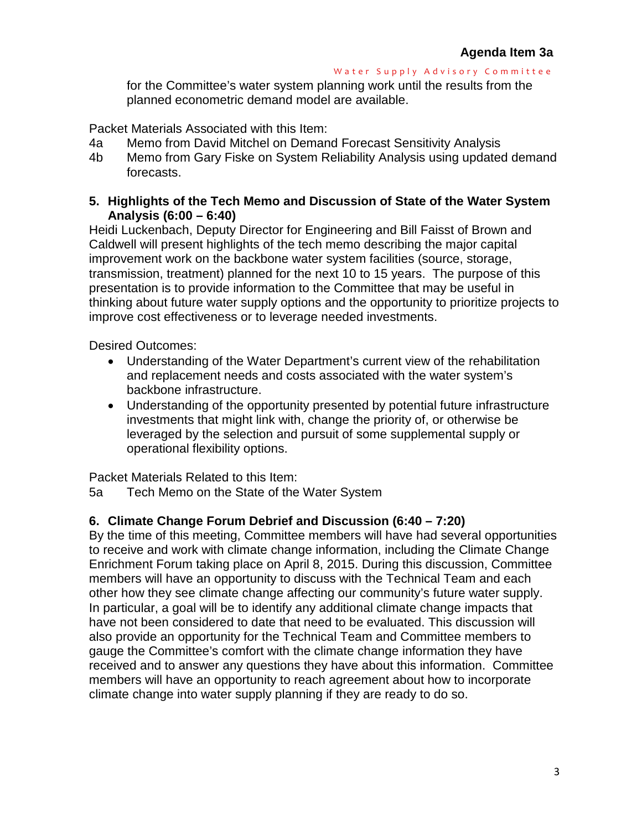for the Committee's water system planning work until the results from the planned econometric demand model are available.

Packet Materials Associated with this Item:

- 4a Memo from David Mitchel on Demand Forecast Sensitivity Analysis
- 4b Memo from Gary Fiske on System Reliability Analysis using updated demand forecasts.

### **5. Highlights of the Tech Memo and Discussion of State of the Water System Analysis (6:00 – 6:40)**

Heidi Luckenbach, Deputy Director for Engineering and Bill Faisst of Brown and Caldwell will present highlights of the tech memo describing the major capital improvement work on the backbone water system facilities (source, storage, transmission, treatment) planned for the next 10 to 15 years. The purpose of this presentation is to provide information to the Committee that may be useful in thinking about future water supply options and the opportunity to prioritize projects to improve cost effectiveness or to leverage needed investments.

Desired Outcomes:

- Understanding of the Water Department's current view of the rehabilitation and replacement needs and costs associated with the water system's backbone infrastructure.
- Understanding of the opportunity presented by potential future infrastructure investments that might link with, change the priority of, or otherwise be leveraged by the selection and pursuit of some supplemental supply or operational flexibility options.

Packet Materials Related to this Item:

5a Tech Memo on the State of the Water System

### **6. Climate Change Forum Debrief and Discussion (6:40 – 7:20)**

By the time of this meeting, Committee members will have had several opportunities to receive and work with climate change information, including the Climate Change Enrichment Forum taking place on April 8, 2015. During this discussion, Committee members will have an opportunity to discuss with the Technical Team and each other how they see climate change affecting our community's future water supply. In particular, a goal will be to identify any additional climate change impacts that have not been considered to date that need to be evaluated. This discussion will also provide an opportunity for the Technical Team and Committee members to gauge the Committee's comfort with the climate change information they have received and to answer any questions they have about this information. Committee members will have an opportunity to reach agreement about how to incorporate climate change into water supply planning if they are ready to do so.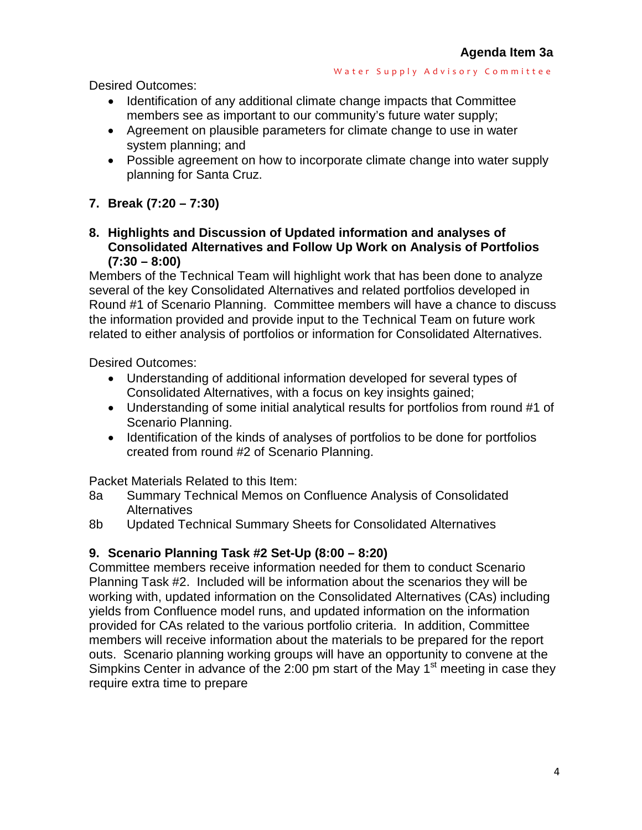Desired Outcomes:

- Identification of any additional climate change impacts that Committee members see as important to our community's future water supply;
- Agreement on plausible parameters for climate change to use in water system planning; and
- Possible agreement on how to incorporate climate change into water supply planning for Santa Cruz.

# **7. Break (7:20 – 7:30)**

**8. Highlights and Discussion of Updated information and analyses of Consolidated Alternatives and Follow Up Work on Analysis of Portfolios (7:30 – 8:00)**

Members of the Technical Team will highlight work that has been done to analyze several of the key Consolidated Alternatives and related portfolios developed in Round #1 of Scenario Planning. Committee members will have a chance to discuss the information provided and provide input to the Technical Team on future work related to either analysis of portfolios or information for Consolidated Alternatives.

Desired Outcomes:

- Understanding of additional information developed for several types of Consolidated Alternatives, with a focus on key insights gained;
- Understanding of some initial analytical results for portfolios from round #1 of Scenario Planning.
- Identification of the kinds of analyses of portfolios to be done for portfolios created from round #2 of Scenario Planning.

Packet Materials Related to this Item:

- 8a Summary Technical Memos on Confluence Analysis of Consolidated Alternatives
- 8b Updated Technical Summary Sheets for Consolidated Alternatives

# **9. Scenario Planning Task #2 Set-Up (8:00 – 8:20)**

Committee members receive information needed for them to conduct Scenario Planning Task #2. Included will be information about the scenarios they will be working with, updated information on the Consolidated Alternatives (CAs) including yields from Confluence model runs, and updated information on the information provided for CAs related to the various portfolio criteria. In addition, Committee members will receive information about the materials to be prepared for the report outs. Scenario planning working groups will have an opportunity to convene at the Simpkins Center in advance of the  $2:00$  pm start of the May 1<sup>st</sup> meeting in case they require extra time to prepare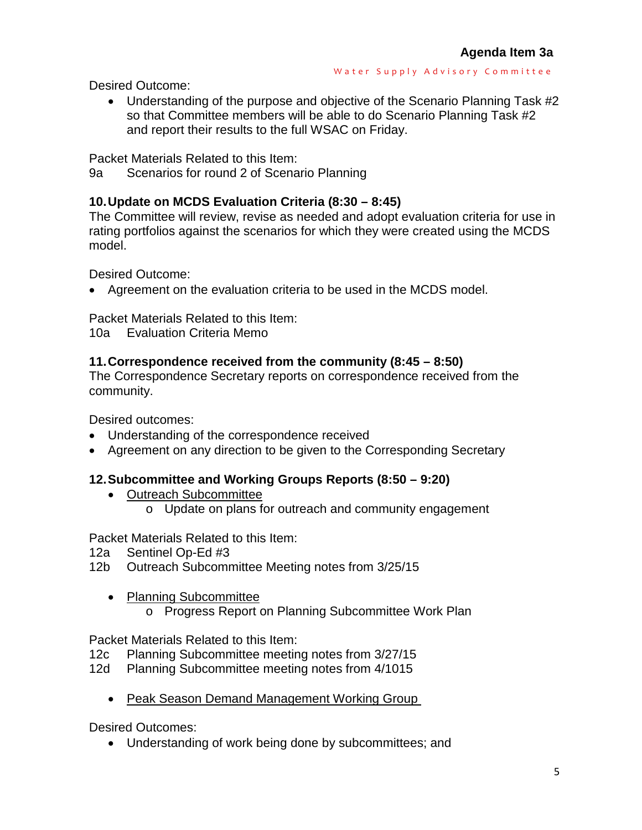Desired Outcome:

• Understanding of the purpose and objective of the Scenario Planning Task #2 so that Committee members will be able to do Scenario Planning Task #2 and report their results to the full WSAC on Friday.

Packet Materials Related to this Item:

9a Scenarios for round 2 of Scenario Planning

# **10.Update on MCDS Evaluation Criteria (8:30 – 8:45)**

The Committee will review, revise as needed and adopt evaluation criteria for use in rating portfolios against the scenarios for which they were created using the MCDS model.

Desired Outcome:

• Agreement on the evaluation criteria to be used in the MCDS model.

Packet Materials Related to this Item:

10a Evaluation Criteria Memo

# **11.Correspondence received from the community (8:45 – 8:50)**

The Correspondence Secretary reports on correspondence received from the community.

Desired outcomes:

- Understanding of the correspondence received
- Agreement on any direction to be given to the Corresponding Secretary

# **12.Subcommittee and Working Groups Reports (8:50 – 9:20)**

- Outreach Subcommittee
	- o Update on plans for outreach and community engagement

Packet Materials Related to this Item:

- 12a Sentinel Op-Ed #3
- 12b Outreach Subcommittee Meeting notes from 3/25/15
	- Planning Subcommittee
		- o Progress Report on Planning Subcommittee Work Plan

Packet Materials Related to this Item:

- 12c Planning Subcommittee meeting notes from 3/27/15
- 12d Planning Subcommittee meeting notes from 4/1015
	- Peak Season Demand Management Working Group

Desired Outcomes:

• Understanding of work being done by subcommittees; and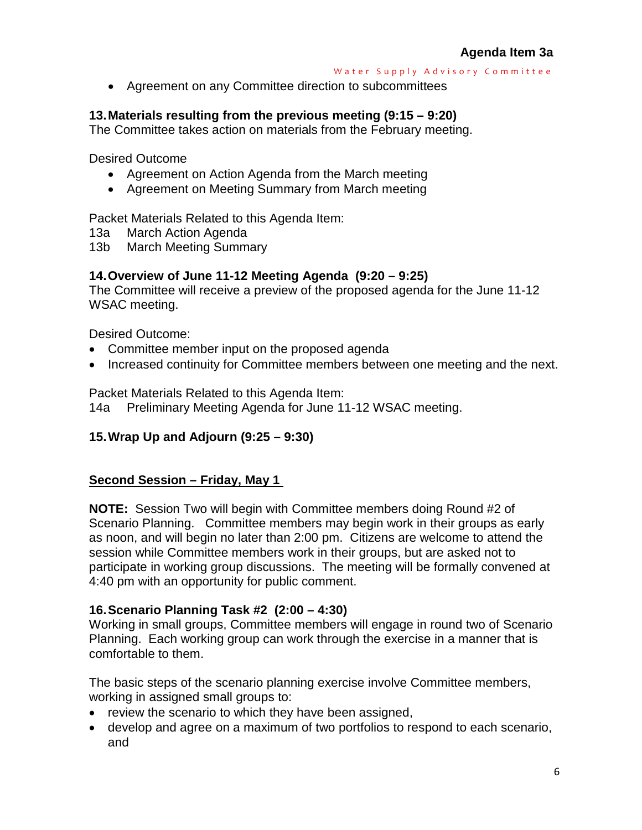• Agreement on any Committee direction to subcommittees

# **13.Materials resulting from the previous meeting (9:15 – 9:20)**

The Committee takes action on materials from the February meeting.

Desired Outcome

- Agreement on Action Agenda from the March meeting
- Agreement on Meeting Summary from March meeting

Packet Materials Related to this Agenda Item:

- 13a March Action Agenda
- 13b March Meeting Summary

## **14.Overview of June 11-12 Meeting Agenda (9:20 – 9:25)**

The Committee will receive a preview of the proposed agenda for the June 11-12 WSAC meeting.

Desired Outcome:

- Committee member input on the proposed agenda
- Increased continuity for Committee members between one meeting and the next.

Packet Materials Related to this Agenda Item:

14a Preliminary Meeting Agenda for June 11-12 WSAC meeting.

### **15.Wrap Up and Adjourn (9:25 – 9:30)**

### **Second Session – Friday, May 1**

**NOTE:** Session Two will begin with Committee members doing Round #2 of Scenario Planning. Committee members may begin work in their groups as early as noon, and will begin no later than 2:00 pm. Citizens are welcome to attend the session while Committee members work in their groups, but are asked not to participate in working group discussions. The meeting will be formally convened at 4:40 pm with an opportunity for public comment.

### **16.Scenario Planning Task #2 (2:00 – 4:30)**

Working in small groups, Committee members will engage in round two of Scenario Planning. Each working group can work through the exercise in a manner that is comfortable to them.

The basic steps of the scenario planning exercise involve Committee members, working in assigned small groups to:

- review the scenario to which they have been assigned,
- develop and agree on a maximum of two portfolios to respond to each scenario, and